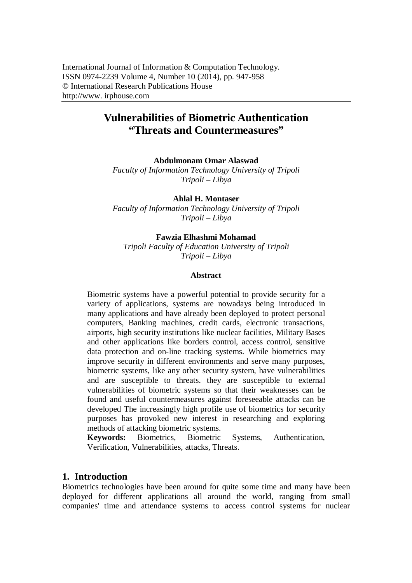# **Vulnerabilities of Biometric Authentication "Threats and Countermeasures"**

**Abdulmonam Omar Alaswad**

*Faculty of Information Technology University of Tripoli Tripoli – Libya*

**Ahlal H. Montaser**

*Faculty of Information Technology University of Tripoli Tripoli – Libya*

#### **Fawzia Elhashmi Mohamad**

*Tripoli Faculty of Education University of Tripoli Tripoli – Libya*

#### **Abstract**

Biometric systems have a powerful potential to provide security for a variety of applications, systems are nowadays being introduced in many applications and have already been deployed to protect personal computers, Banking machines, credit cards, electronic transactions, airports, high security institutions like nuclear facilities, Military Bases and other applications like borders control, access control, sensitive data protection and on-line tracking systems. While biometrics may improve security in different environments and serve many purposes, biometric systems, like any other security system, have vulnerabilities and are susceptible to threats. they are susceptible to external vulnerabilities of biometric systems so that their weaknesses can be found and useful countermeasures against foreseeable attacks can be developed The increasingly high profile use of biometrics for security purposes has provoked new interest in researching and exploring methods of attacking biometric systems.

**Keywords:** Biometrics, Biometric Systems, Authentication, Verification, Vulnerabilities, attacks, Threats.

## **1. Introduction**

Biometrics technologies have been around for quite some time and many have been deployed for different applications all around the world, ranging from small companies' time and attendance systems to access control systems for nuclear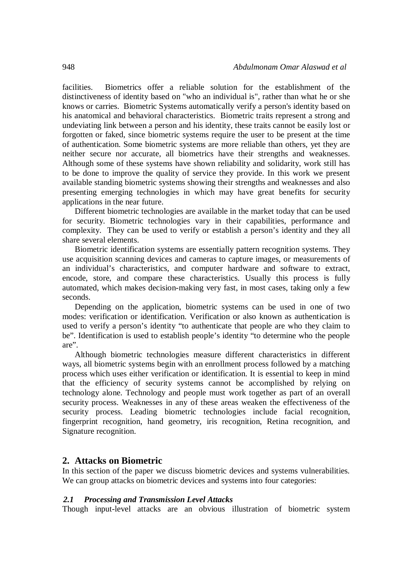facilities. Biometrics offer a reliable solution for the establishment of the distinctiveness of identity based on "who an individual is", rather than what he or she knows or carries. Biometric Systems automatically verify a person's identity based on his anatomical and behavioral characteristics. Biometric traits represent a strong and undeviating link between a person and his identity, these traits cannot be easily lost or forgotten or faked, since biometric systems require the user to be present at the time of authentication. Some biometric systems are more reliable than others, yet they are neither secure nor accurate, all biometrics have their strengths and weaknesses. Although some of these systems have shown reliability and solidarity, work still has to be done to improve the quality of service they provide. In this work we present available standing biometric systems showing their strengths and weaknesses and also presenting emerging technologies in which may have great benefits for security applications in the near future.

Different biometric technologies are available in the market today that can be used for security. Biometric technologies vary in their capabilities, performance and complexity. They can be used to verify or establish a person's identity and they all share several elements.

Biometric identification systems are essentially pattern recognition systems. They use acquisition scanning devices and cameras to capture images, or measurements of an individual's characteristics, and computer hardware and software to extract, encode, store, and compare these characteristics. Usually this process is fully automated, which makes decision-making very fast, in most cases, taking only a few seconds.

Depending on the application, biometric systems can be used in one of two modes: verification or identification. Verification or also known as authentication is used to verify a person's identity "to authenticate that people are who they claim to be". Identification is used to establish people's identity "to determine who the people are".

Although biometric technologies measure different characteristics in different ways, all biometric systems begin with an enrollment process followed by a matching process which uses either verification or identification. It is essential to keep in mind that the efficiency of security systems cannot be accomplished by relying on technology alone. Technology and people must work together as part of an overall security process. Weaknesses in any of these areas weaken the effectiveness of the security process. Leading biometric technologies include facial recognition, fingerprint recognition, hand geometry, iris recognition, Retina recognition, and Signature recognition.

### **2. Attacks on Biometric**

In this section of the paper we discuss biometric devices and systems vulnerabilities. We can group attacks on biometric devices and systems into four categories:

#### *2.1 Processing and Transmission Level Attacks*

Though input-level attacks are an obvious illustration of biometric system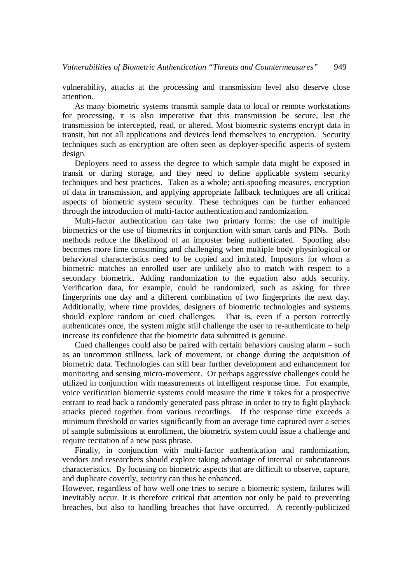vulnerability, attacks at the processing and transmission level also deserve close attention.

As many biometric systems transmit sample data to local or remote workstations for processing, it is also imperative that this transmission be secure, lest the transmission be intercepted, read, or altered. Most biometric systems encrypt data in transit, but not all applications and devices lend themselves to encryption. Security techniques such as encryption are often seen as deployer-specific aspects of system design.

Deployers need to assess the degree to which sample data might be exposed in transit or during storage, and they need to define applicable system security techniques and best practices. Taken as a whole; anti-spoofing measures, encryption of data in transmission, and applying appropriate fallback techniques are all critical aspects of biometric system security. These techniques can be further enhanced through the introduction of multi-factor authentication and randomization.

Multi-factor authentication can take two primary forms: the use of multiple biometrics or the use of biometrics in conjunction with smart cards and PINs. Both methods reduce the likelihood of an imposter being authenticated. Spoofing also becomes more time consuming and challenging when multiple body physiological or behavioral characteristics need to be copied and imitated. Impostors for whom a biometric matches an enrolled user are unlikely also to match with respect to a secondary biometric. Adding randomization to the equation also adds security. Verification data, for example, could be randomized, such as asking for three fingerprints one day and a different combination of two fingerprints the next day. Additionally, where time provides, designers of biometric technologies and systems should explore random or cued challenges. That is, even if a person correctly authenticates once, the system might still challenge the user to re-authenticate to help increase its confidence that the biometric data submitted is genuine.

Cued challenges could also be paired with certain behaviors causing alarm – such as an uncommon stillness, lack of movement, or change during the acquisition of biometric data. Technologies can still bear further development and enhancement for monitoring and sensing micro-movement. Or perhaps aggressive challenges could be utilized in conjunction with measurements of intelligent response time. For example, voice verification biometric systems could measure the time it takes for a prospective entrant to read back a randomly generated pass phrase in order to try to fight playback attacks pieced together from various recordings. If the response time exceeds a minimum threshold or varies significantly from an average time captured over a series of sample submissions at enrollment, the biometric system could issue a challenge and require recitation of a new pass phrase.

Finally, in conjunction with multi-factor authentication and randomization, vendors and researchers should explore taking advantage of internal or subcutaneous characteristics. By focusing on biometric aspects that are difficult to observe, capture, and duplicate covertly, security can thus be enhanced.

However, regardless of how well one tries to secure a biometric system, failures will inevitably occur. It is therefore critical that attention not only be paid to preventing breaches, but also to handling breaches that have occurred. A recently-publicized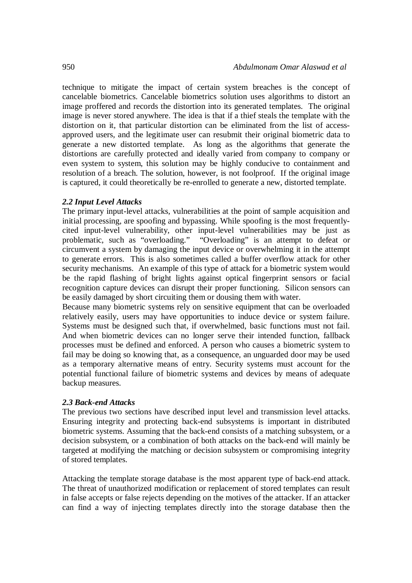technique to mitigate the impact of certain system breaches is the concept of cancelable biometrics. Cancelable biometrics solution uses algorithms to distort an image proffered and records the distortion into its generated templates. The original image is never stored anywhere. The idea is that if a thief steals the template with the distortion on it, that particular distortion can be eliminated from the list of accessapproved users, and the legitimate user can resubmit their original biometric data to generate a new distorted template. As long as the algorithms that generate the distortions are carefully protected and ideally varied from company to company or even system to system, this solution may be highly conducive to containment and resolution of a breach. The solution, however, is not foolproof. If the original image is captured, it could theoretically be re-enrolled to generate a new, distorted template.

#### *2.2 Input Level Attacks*

The primary input-level attacks, vulnerabilities at the point of sample acquisition and initial processing, are spoofing and bypassing. While spoofing is the most frequentlycited input-level vulnerability, other input-level vulnerabilities may be just as problematic, such as "overloading." "Overloading" is an attempt to defeat or circumvent a system by damaging the input device or overwhelming it in the attempt to generate errors. This is also sometimes called a buffer overflow attack for other security mechanisms. An example of this type of attack for a biometric system would be the rapid flashing of bright lights against optical fingerprint sensors or facial recognition capture devices can disrupt their proper functioning. Silicon sensors can be easily damaged by short circuiting them or dousing them with water.

Because many biometric systems rely on sensitive equipment that can be overloaded relatively easily, users may have opportunities to induce device or system failure. Systems must be designed such that, if overwhelmed, basic functions must not fail. And when biometric devices can no longer serve their intended function, fallback processes must be defined and enforced. A person who causes a biometric system to fail may be doing so knowing that, as a consequence, an unguarded door may be used as a temporary alternative means of entry. Security systems must account for the potential functional failure of biometric systems and devices by means of adequate backup measures.

#### *2.3 Back-end Attacks*

The previous two sections have described input level and transmission level attacks. Ensuring integrity and protecting back-end subsystems is important in distributed biometric systems. Assuming that the back-end consists of a matching subsystem, or a decision subsystem, or a combination of both attacks on the back-end will mainly be targeted at modifying the matching or decision subsystem or compromising integrity of stored templates.

Attacking the template storage database is the most apparent type of back-end attack. The threat of unauthorized modification or replacement of stored templates can result in false accepts or false rejects depending on the motives of the attacker. If an attacker can find a way of injecting templates directly into the storage database then the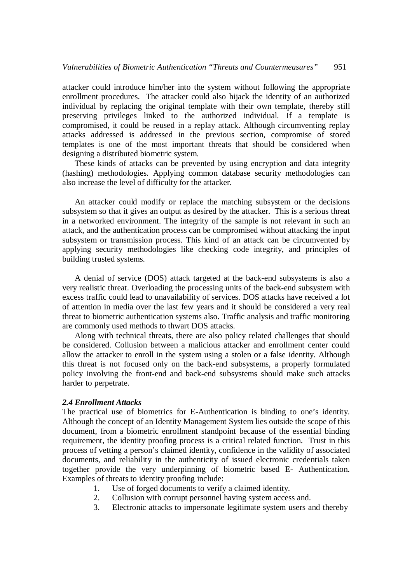attacker could introduce him/her into the system without following the appropriate enrollment procedures. The attacker could also hijack the identity of an authorized individual by replacing the original template with their own template, thereby still preserving privileges linked to the authorized individual. If a template is compromised, it could be reused in a replay attack. Although circumventing replay attacks addressed is addressed in the previous section, compromise of stored templates is one of the most important threats that should be considered when designing a distributed biometric system.

These kinds of attacks can be prevented by using encryption and data integrity (hashing) methodologies. Applying common database security methodologies can also increase the level of difficulty for the attacker.

An attacker could modify or replace the matching subsystem or the decisions subsystem so that it gives an output as desired by the attacker. This is a serious threat in a networked environment. The integrity of the sample is not relevant in such an attack, and the authentication process can be compromised without attacking the input subsystem or transmission process. This kind of an attack can be circumvented by applying security methodologies like checking code integrity, and principles of building trusted systems.

A denial of service (DOS) attack targeted at the back-end subsystems is also a very realistic threat. Overloading the processing units of the back-end subsystem with excess traffic could lead to unavailability of services. DOS attacks have received a lot of attention in media over the last few years and it should be considered a very real threat to biometric authentication systems also. Traffic analysis and traffic monitoring are commonly used methods to thwart DOS attacks.

Along with technical threats, there are also policy related challenges that should be considered. Collusion between a malicious attacker and enrollment center could allow the attacker to enroll in the system using a stolen or a false identity. Although this threat is not focused only on the back-end subsystems, a properly formulated policy involving the front-end and back-end subsystems should make such attacks harder to perpetrate.

#### *2.4 Enrollment Attacks*

The practical use of biometrics for E-Authentication is binding to one's identity. Although the concept of an Identity Management System lies outside the scope of this document, from a biometric enrollment standpoint because of the essential binding requirement, the identity proofing process is a critical related function. Trust in this process of vetting a person's claimed identity, confidence in the validity of associated documents, and reliability in the authenticity of issued electronic credentials taken together provide the very underpinning of biometric based E- Authentication. Examples of threats to identity proofing include:

- 1. Use of forged documents to verify a claimed identity.
- 2. Collusion with corrupt personnel having system access and.
- 3. Electronic attacks to impersonate legitimate system users and thereby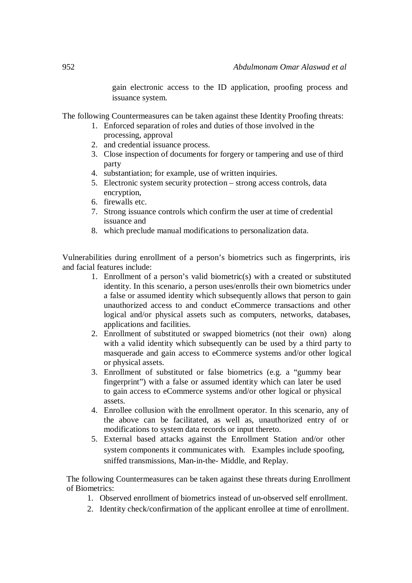gain electronic access to the ID application, proofing process and issuance system.

The following Countermeasures can be taken against these Identity Proofing threats:

- 1. Enforced separation of roles and duties of those involved in the processing, approval
- 2. and credential issuance process.
- 3. Close inspection of documents for forgery or tampering and use of third party
- 4. substantiation; for example, use of written inquiries.
- 5. Electronic system security protection strong access controls, data encryption,
- 6. firewalls etc.
- 7. Strong issuance controls which confirm the user at time of credential issuance and
- 8. which preclude manual modifications to personalization data.

Vulnerabilities during enrollment of a person's biometrics such as fingerprints, iris and facial features include:

- 1. Enrollment of a person's valid biometric(s) with a created or substituted identity. In this scenario, a person uses/enrolls their own biometrics under a false or assumed identity which subsequently allows that person to gain unauthorized access to and conduct eCommerce transactions and other logical and/or physical assets such as computers, networks, databases, applications and facilities.
- 2. Enrollment of substituted or swapped biometrics (not their own) along with a valid identity which subsequently can be used by a third party to masquerade and gain access to eCommerce systems and/or other logical or physical assets.
- 3. Enrollment of substituted or false biometrics (e.g. a "gummy bear fingerprint") with a false or assumed identity which can later be used to gain access to eCommerce systems and/or other logical or physical assets.
- 4. Enrollee collusion with the enrollment operator. In this scenario, any of the above can be facilitated, as well as, unauthorized entry of or modifications to system data records or input thereto.
- 5. External based attacks against the Enrollment Station and/or other system components it communicates with. Examples include spoofing, sniffed transmissions, Man-in-the- Middle, and Replay.

The following Countermeasures can be taken against these threats during Enrollment of Biometrics:

- 1. Observed enrollment of biometrics instead of un-observed self enrollment.
- 2. Identity check/confirmation of the applicant enrollee at time of enrollment.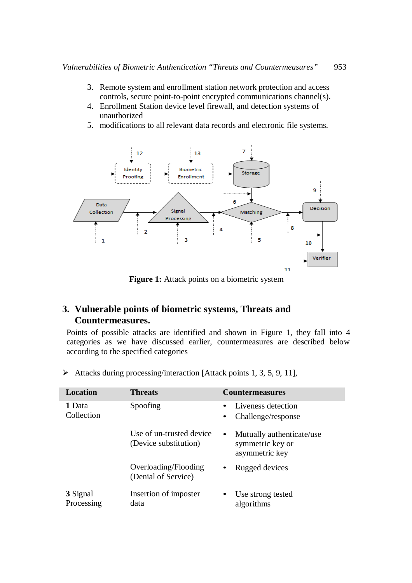- 3. Remote system and enrollment station network protection and access controls, secure point-to-point encrypted communications channel(s).
- 4. Enrollment Station device level firewall, and detection systems of unauthorized
- 5. modifications to all relevant data records and electronic file systems.



**Figure 1:** Attack points on a biometric system

## **3. Vulnerable points of biometric systems, Threats and Countermeasures.**

Points of possible attacks are identified and shown in Figure 1, they fall into 4 categories as we have discussed earlier, countermeasures are described below according to the specified categories

| Location             | <b>Threats</b>                                    | <b>Countermeasures</b>                                                       |
|----------------------|---------------------------------------------------|------------------------------------------------------------------------------|
| 1 Data<br>Collection | Spoofing                                          | Liveness detection<br>Challenge/response<br>$\bullet$                        |
|                      | Use of un-trusted device<br>(Device substitution) | Mutually authenticate/use<br>$\bullet$<br>symmetric key or<br>asymmetric key |
|                      | Overloading/Flooding                              | Rugged devices<br>$\bullet$                                                  |

 $\triangleright$  Attacks during processing/interaction [Attack points 1, 3, 5, 9, 11],

| 3 Signal   | Insertion of imposter | Use strong tested |
|------------|-----------------------|-------------------|
| Processing | data                  | algorithms        |

(Denial of Service)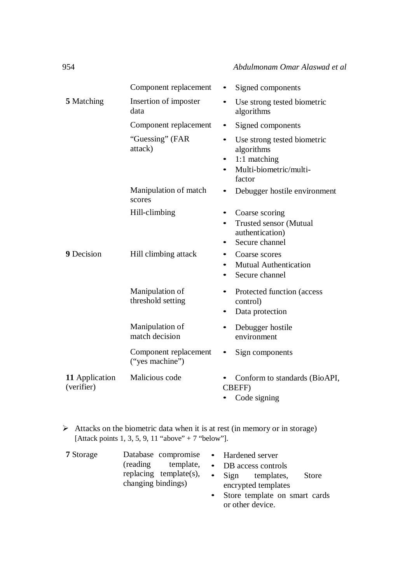|                              | Component replacement                    | ٠                      | Signed components                                                                             |
|------------------------------|------------------------------------------|------------------------|-----------------------------------------------------------------------------------------------|
| 5 Matching                   | Insertion of imposter<br>data            |                        | Use strong tested biometric<br>algorithms                                                     |
|                              | Component replacement                    |                        | Signed components                                                                             |
|                              | "Guessing" (FAR<br>attack)               | $\bullet$              | Use strong tested biometric<br>algorithms<br>1:1 matching<br>Multi-biometric/multi-<br>factor |
|                              | Manipulation of match<br>scores          | ٠                      | Debugger hostile environment                                                                  |
|                              | Hill-climbing                            | $\bullet$<br>$\bullet$ | Coarse scoring<br><b>Trusted sensor (Mutual</b><br>authentication)<br>Secure channel          |
| 9 Decision                   | Hill climbing attack                     | $\bullet$<br>$\bullet$ | Coarse scores<br><b>Mutual Authentication</b><br>Secure channel                               |
|                              | Manipulation of<br>threshold setting     | ٠                      | Protected function (access<br>control)<br>Data protection                                     |
|                              | Manipulation of<br>match decision        | ٠                      | Debugger hostile<br>environment                                                               |
|                              | Component replacement<br>("yes machine") |                        | Sign components                                                                               |
| 11 Application<br>(verifier) | Malicious code                           | $\bullet$              | Conform to standards (BioAPI,<br><b>CBEFF)</b><br>Code signing                                |

 $\triangleright$  Attacks on the biometric data when it is at rest (in memory or in storage) [Attack points 1, 3, 5, 9, 11 "above" + 7 "below"].

| <b>7</b> Storage |                                              | Database compromise • Hardened server                                  |
|------------------|----------------------------------------------|------------------------------------------------------------------------|
|                  | template,<br>(reading)                       | • DB access controls                                                   |
|                  | replacing template(s),<br>changing bindings) | Sign<br>templates,<br><b>Store</b><br>$\bullet$<br>encrypted templates |
|                  |                                              | • Store template on smart cards                                        |
|                  |                                              | or other device.                                                       |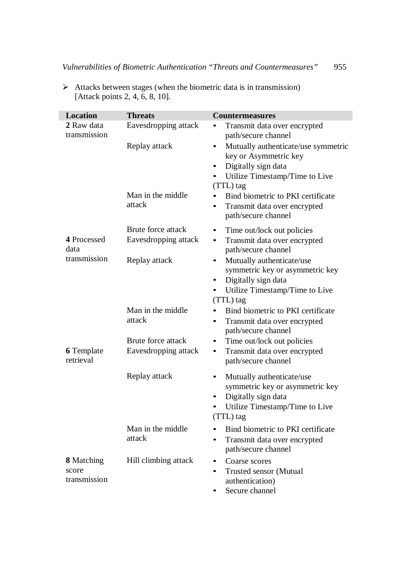| <b>Location</b>                            | <b>Threats</b>                             | <b>Countermeasures</b>                                                                                                                                                      |
|--------------------------------------------|--------------------------------------------|-----------------------------------------------------------------------------------------------------------------------------------------------------------------------------|
| 2 Raw data<br>transmission                 | Eavesdropping attack                       | Transmit data over encrypted<br>path/secure channel                                                                                                                         |
|                                            | Replay attack                              | Mutually authenticate/use symmetric<br>$\bullet$<br>key or Asymmetric key<br>Digitally sign data<br>$\bullet$<br>Utilize Timestamp/Time to Live<br>$\bullet$<br>(TTL) tag   |
|                                            | Man in the middle<br>attack                | Bind biometric to PKI certificate<br>Transmit data over encrypted<br>$\bullet$<br>path/secure channel                                                                       |
| 4 Processed<br>data                        | Brute force attack<br>Eavesdropping attack | Time out/lock out policies<br>٠<br>Transmit data over encrypted<br>$\bullet$<br>path/secure channel                                                                         |
| transmission                               | Replay attack                              | Mutually authenticate/use<br>$\bullet$<br>symmetric key or asymmetric key<br>Digitally sign data<br>$\bullet$<br>Utilize Timestamp/Time to Live<br>$\bullet$<br>$(TTL)$ tag |
|                                            | Man in the middle<br>attack                | Bind biometric to PKI certificate<br>Transmit data over encrypted<br>$\bullet$<br>path/secure channel                                                                       |
| <b>6</b> Template<br>retrieval             | Brute force attack<br>Eavesdropping attack | Time out/lock out policies<br>٠<br>Transmit data over encrypted<br>$\bullet$<br>path/secure channel                                                                         |
|                                            | Replay attack                              | Mutually authenticate/use<br>$\bullet$<br>symmetric key or asymmetric key<br>Digitally sign data<br>$\bullet$<br>Utilize Timestamp/Time to Live<br>$(TTL)$ tag              |
|                                            | Man in the middle<br>attack                | Bind biometric to PKI certificate<br>$\bullet$<br>Transmit data over encrypted<br>$\bullet$<br>path/secure channel                                                          |
| <b>8</b> Matching<br>score<br>transmission | Hill climbing attack                       | Coarse scores<br>$\bullet$<br>Trusted sensor (Mutual<br>$\bullet$<br>authentication)<br>Secure channel                                                                      |

 $\triangleright$  Attacks between stages (when the biometric data is in transmission) [Attack points 2, 4, 6, 8, 10].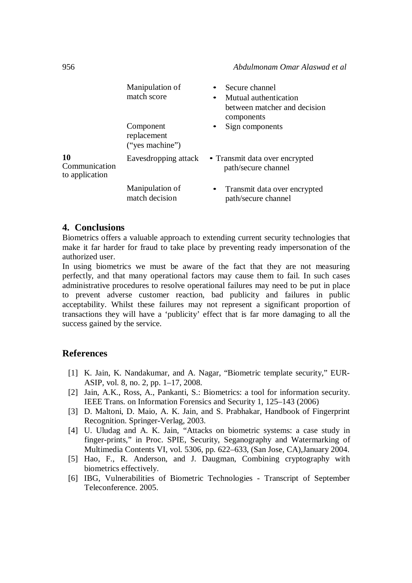|                                              | Manipulation of<br>match score<br>Component<br>replacement<br>("yes machine") | Secure channel<br>Mutual authentication<br>between matcher and decision<br>components<br>Sign components<br>$\bullet$ |
|----------------------------------------------|-------------------------------------------------------------------------------|-----------------------------------------------------------------------------------------------------------------------|
| <b>10</b><br>Communication<br>to application | Eavesdropping attack                                                          | • Transmit data over encrypted<br>path/secure channel                                                                 |
|                                              | Manipulation of<br>match decision                                             | Transmit data over encrypted<br>$\bullet$<br>path/secure channel                                                      |

## **4. Conclusions**

Biometrics offers a valuable approach to extending current security technologies that make it far harder for fraud to take place by preventing ready impersonation of the authorized user.

In using biometrics we must be aware of the fact that they are not measuring perfectly, and that many operational factors may cause them to fail. In such cases administrative procedures to resolve operational failures may need to be put in place to prevent adverse customer reaction, bad publicity and failures in public acceptability. Whilst these failures may not represent a significant proportion of transactions they will have a 'publicity' effect that is far more damaging to all the success gained by the service.

## **References**

- [1] K. Jain, K. Nandakumar, and A. Nagar, "Biometric template security," EUR-ASIP, vol. 8, no. 2, pp. 1–17, 2008.
- [2] Jain, A.K., Ross, A., Pankanti, S.: Biometrics: a tool for information security. IEEE Trans. on Information Forensics and Security 1, 125–143 (2006)
- [3] D. Maltoni, D. Maio, A. K. Jain, and S. Prabhakar, Handbook of Fingerprint Recognition. Springer-Verlag, 2003.
- [4] U. Uludag and A. K. Jain, "Attacks on biometric systems: a case study in finger-prints," in Proc. SPIE, Security, Seganography and Watermarking of Multimedia Contents VI, vol. 5306, pp. 622–633, (San Jose, CA),January 2004.
- [5] Hao, F., R. Anderson, and J. Daugman, Combining cryptography with biometrics effectively.
- [6] IBG, Vulnerabilities of Biometric Technologies Transcript of September Teleconference. 2005.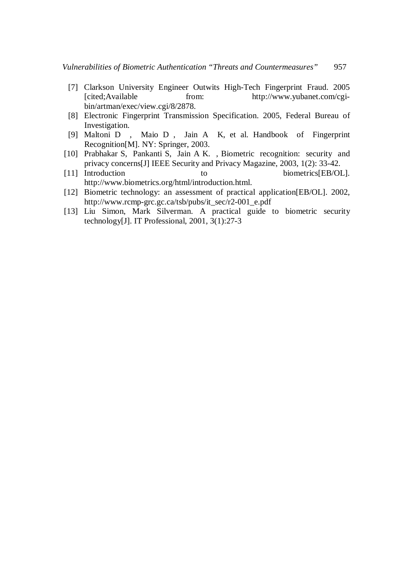- [7] Clarkson University Engineer Outwits High-Tech Fingerprint Fraud. 2005 [cited;Available from: http://www.yubanet.com/cgibin/artman/exec/view.cgi/8/2878.
- [8] Electronic Fingerprint Transmission Specification. 2005, Federal Bureau of Investigation.
- [9] Maltoni D , Maio D , Jain A K, et al. Handbook of Fingerprint Recognition[M]. NY: Springer, 2003.
- [10] Prabhakar S, Pankanti S, Jain A K. , Biometric recognition: security and privacy concerns[J] IEEE Security and Privacy Magazine, 2003, 1(2): 33-42.<br>[11] Introduction to biometrics EB/O
- to biometrics[EB/OL]. http://www.biometrics.org/html/introduction.html.
- [12] Biometric technology: an assessment of practical application[EB/OL]. 2002, http://www.rcmp-grc.gc.ca/tsb/pubs/it\_sec/r2-001\_e.pdf
- [13] Liu Simon, Mark Silverman. A practical guide to biometric security technology[J]. IT Professional, 2001, 3(1):27-3